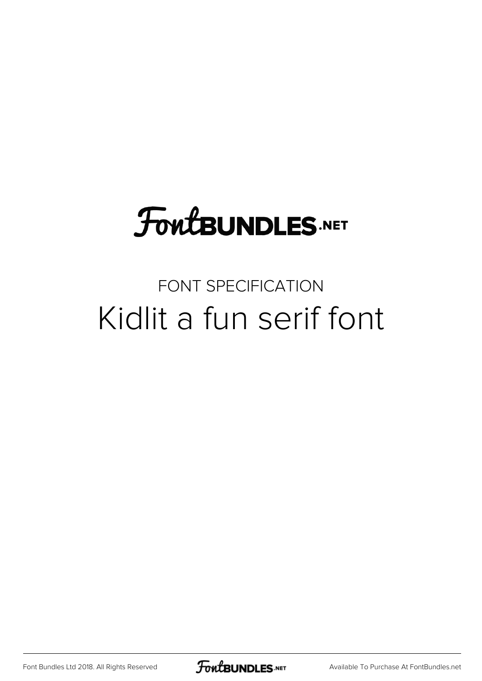# **FoutBUNDLES.NET**

### FONT SPECIFICATION Kidlit a fun serif font

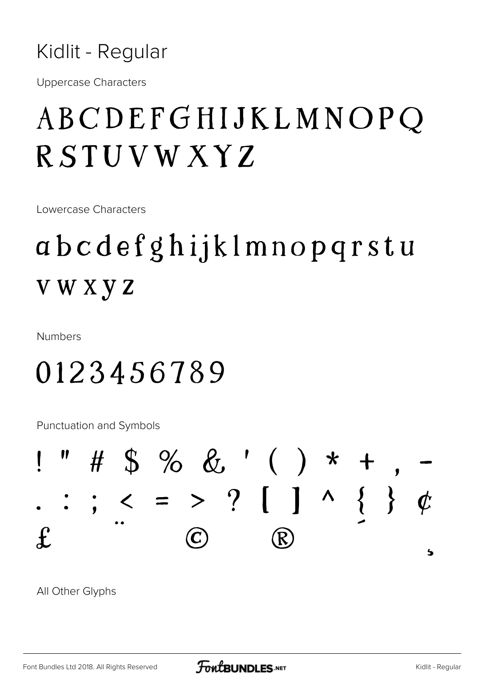**Uppercase Characters** 

### ABCDEFGHIJKLMNOPQ RSTUVWXYZ

Lowercase Characters

### abcdefghijklmnopqrstu **VWXYZ**

**Numbers** 

### 0123456789

Punctuation and Symbols



All Other Glyphs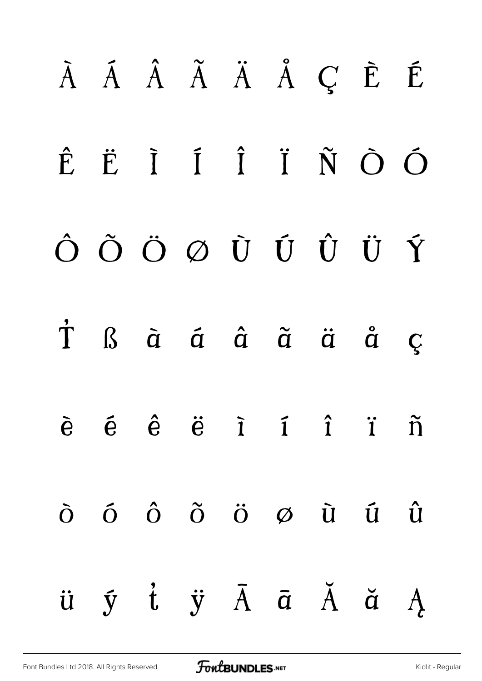# À Á Â Ã Ä Å Ç È É Ê Ë Ì Í Î Ï Ñ Ò Ó Ô Õ Ö Ø Ù Ú Û Ü Ý Þ ß à á â ã ä å ç è é ê ë ì í î ï ñ ò ó ô õ ö ø ù ú û  $\ddot{u}$   $\ddot{y}$   $\ddot{t}$   $\ddot{y}$   $\ddot{A}$   $\ddot{a}$   $\ddot{A}$   $\ddot{a}$   $\ddot{A}$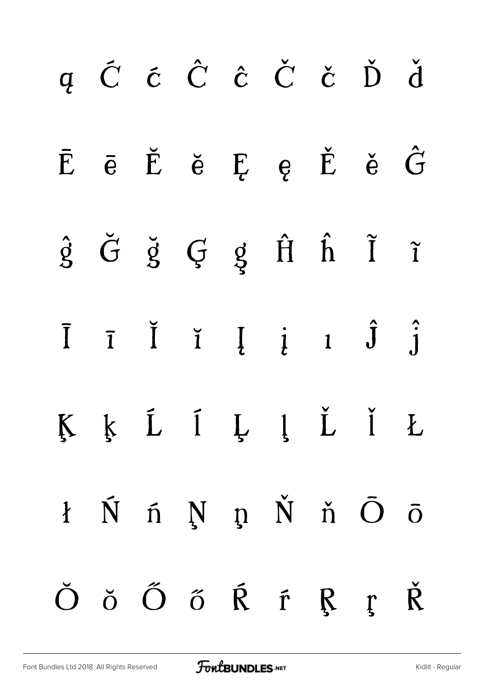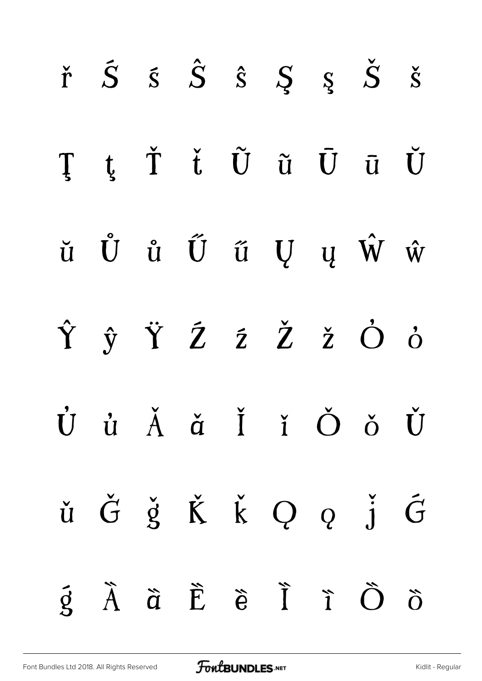|  |  |  | $\check{r}$ $\check{S}$ $\check{s}$ $\hat{S}$ $\check{S}$ $\check{S}$ $\check{S}$ $\check{S}$                                                                                                                                     |  |
|--|--|--|-----------------------------------------------------------------------------------------------------------------------------------------------------------------------------------------------------------------------------------|--|
|  |  |  | ŢţŤ ťŨũŪūŬ                                                                                                                                                                                                                        |  |
|  |  |  | $\check{\mathbf{u}}\quad \mathring{\mathbf{U}}\quad \mathring{\mathbf{u}}\quad \mathring{\mathbf{U}}\quad \mathring{\mathbf{u}}\quad \mathring{\mathbf{U}}\quad \mathbf{u}\quad \mathring{\mathbf{W}}\quad \mathring{\mathbf{w}}$ |  |
|  |  |  | ŶŷŸŹŹŽŽŎò                                                                                                                                                                                                                         |  |
|  |  |  | Ù ủ Ă ă Ĭ ǐ Ŏ ǒ Ŭ                                                                                                                                                                                                                 |  |
|  |  |  | ŭ $\check{G}$ $\check{g}$ $\check{K}$ $\check{k}$ Q $q$ $\check{j}$ $\check{G}$                                                                                                                                                   |  |
|  |  |  | $\tilde{g}$ $\tilde{A}$ $\tilde{a}$ $\tilde{E}$ $\tilde{e}$ $\tilde{I}$ $\tilde{I}$ $\tilde{O}$ $\tilde{O}$                                                                                                                       |  |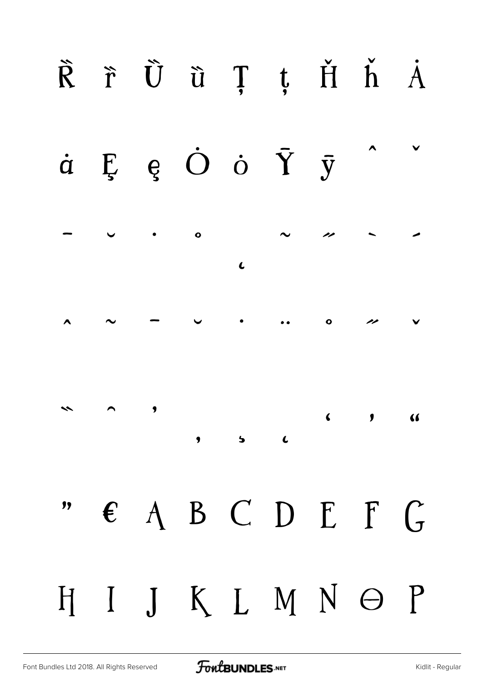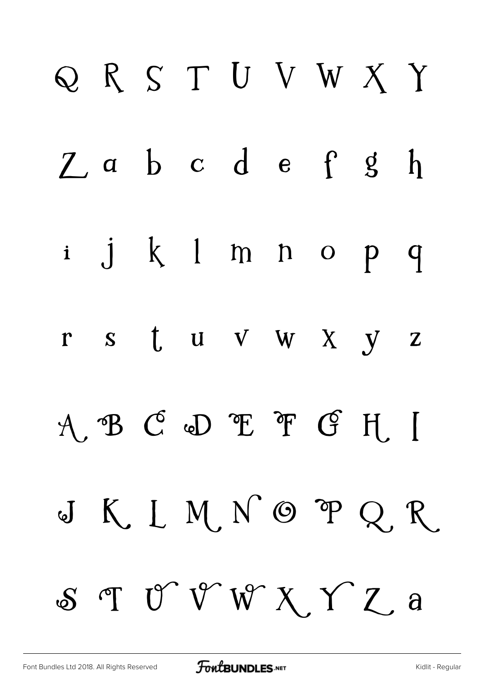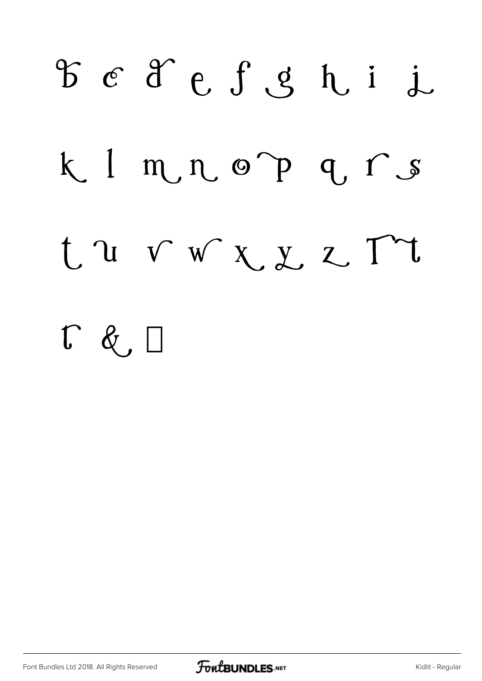

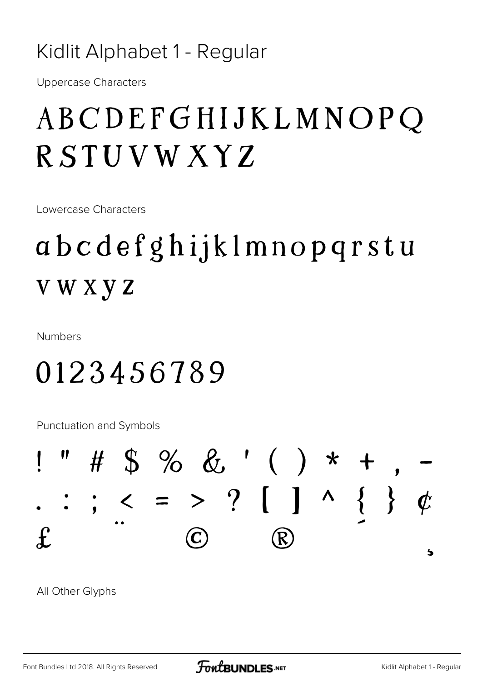#### Kidlit Alphabet 1 - Regular

**Uppercase Characters** 

### ABCDEFGHIJKLMNOPQ RSTUVWXYZ

Lowercase Characters

### abcdefghijklmnopqrstu **VWXYZ**

**Numbers** 

### 0123456789

Punctuation and Symbols



All Other Glyphs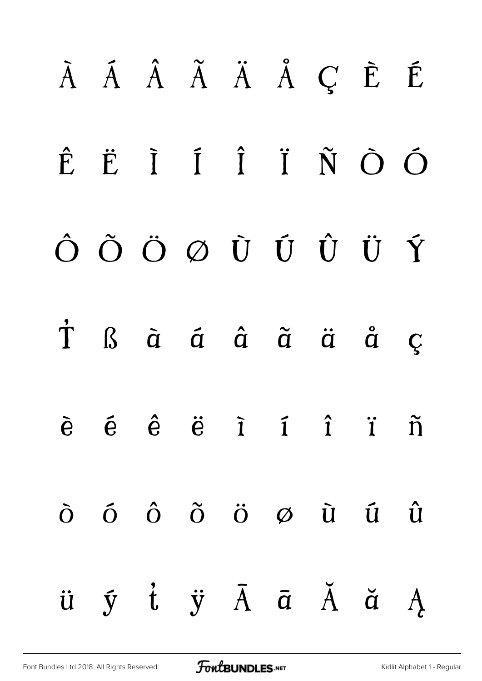# *À Á Â Ã Ä Å Ç È É Ê Ë Ì Í Î Ï Ñ Ò Ó Ô Õ Ö Ø Ù Ú Û Ü Ý Þ ß à á â ã ä å ç è é ê ë ì í î ï ñ ò ó ô õ ö ø ù ú û ü ý þ ÿ Ā ā Ă ă Ą*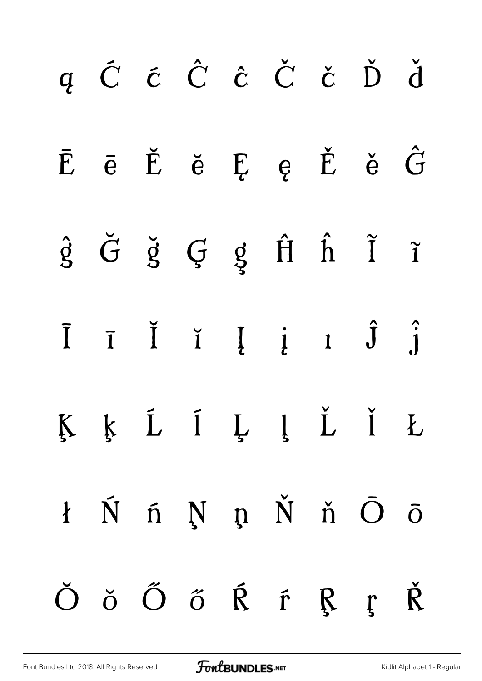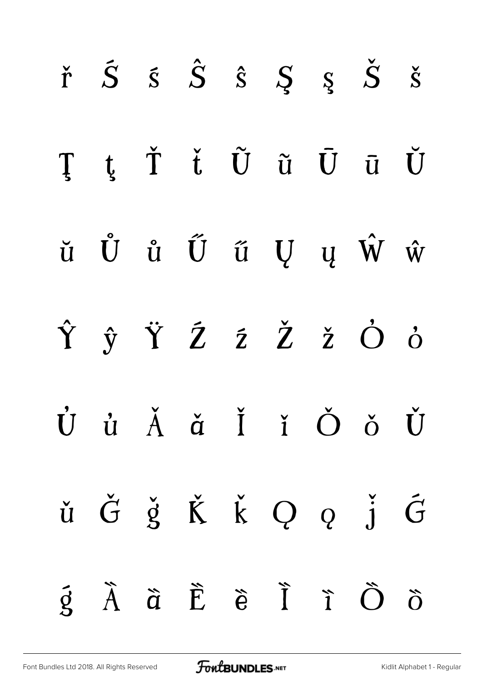|  |  |  | $\check{r}$ $\check{S}$ $\check{s}$ $\hat{S}$ $\check{S}$ $\check{S}$ $\check{S}$ $\check{S}$                                                                                                                                     |  |
|--|--|--|-----------------------------------------------------------------------------------------------------------------------------------------------------------------------------------------------------------------------------------|--|
|  |  |  | ŢţŤ ťŨũŪūŬ                                                                                                                                                                                                                        |  |
|  |  |  | $\check{\mathbf{u}}\quad \mathring{\mathbf{U}}\quad \mathring{\mathbf{u}}\quad \mathring{\mathbf{U}}\quad \mathring{\mathbf{u}}\quad \mathring{\mathbf{U}}\quad \mathbf{u}\quad \mathring{\mathbf{W}}\quad \mathring{\mathbf{w}}$ |  |
|  |  |  | ŶŷŸŹŹŽŽŎò                                                                                                                                                                                                                         |  |
|  |  |  | Ù ủ Ă ă Ĭ ǐ Ŏ ǒ Ŭ                                                                                                                                                                                                                 |  |
|  |  |  | ŭ $\check{G}$ $\check{g}$ $\check{K}$ $\check{k}$ Q $q$ $\check{j}$ $\check{G}$                                                                                                                                                   |  |
|  |  |  | $\tilde{g}$ $\tilde{A}$ $\tilde{a}$ $\tilde{E}$ $\tilde{e}$ $\tilde{I}$ $\tilde{I}$ $\tilde{O}$ $\tilde{O}$                                                                                                                       |  |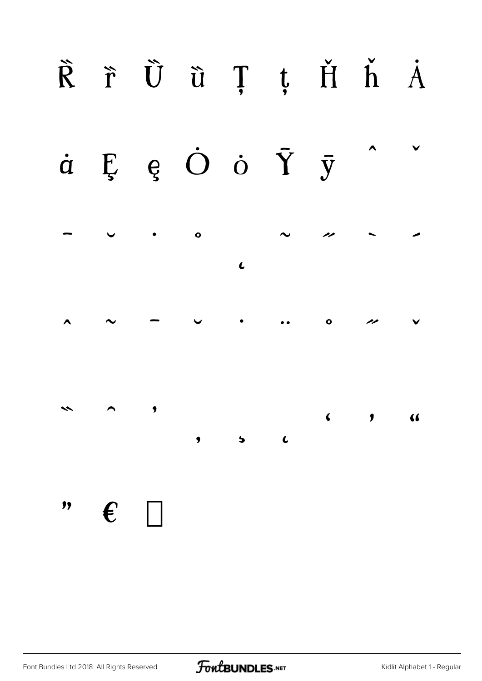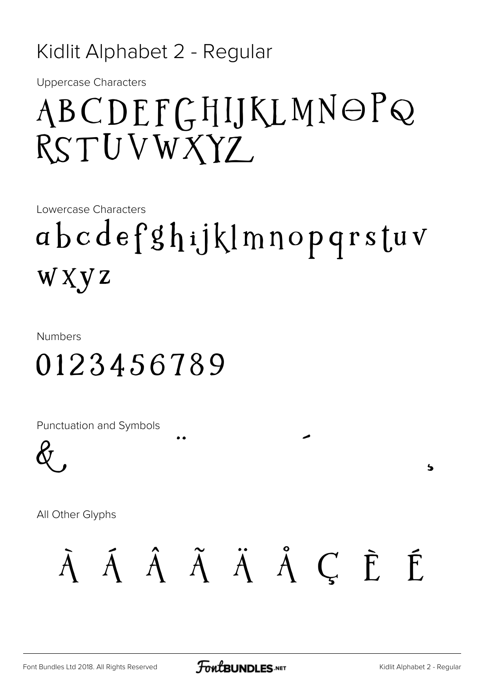#### Kidlit Alphabet 2 - Regular

Uppercase Characters

## *ABCDEFGHIJKLMNOPQ RSTUVWXYZ*

Lowercase Characters

## *abcdefghijklmnopqrstuv wxyz*

Numbers

### *0123456789*

Punctuation and Symbols



All Other Glyphs

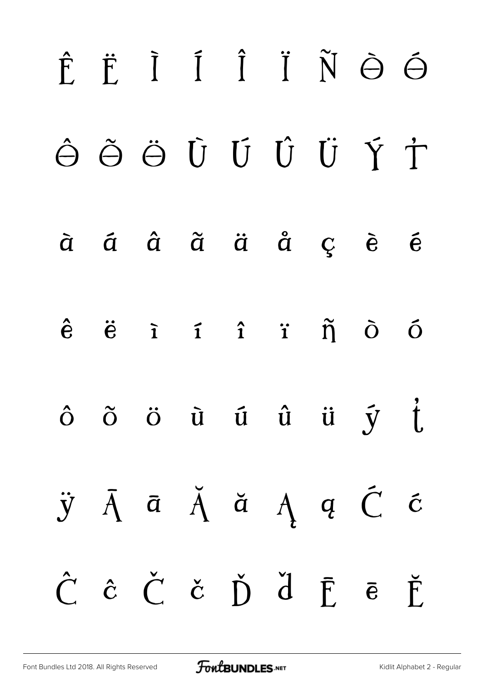# *Ê Ë Ì Í Î Ï Ñ Ò Ó Ô Õ Ö Ù Ú Û Ü Ý Þ à á â ã ä å ç è é ê ë ì í î ï ñ ò ó ô õ ö ù ú û ü ý þ ÿ Ā ā Ă ă Ą ą Ć ć Ĉ ĉ Č č Ď ď Ē ē Ĕ*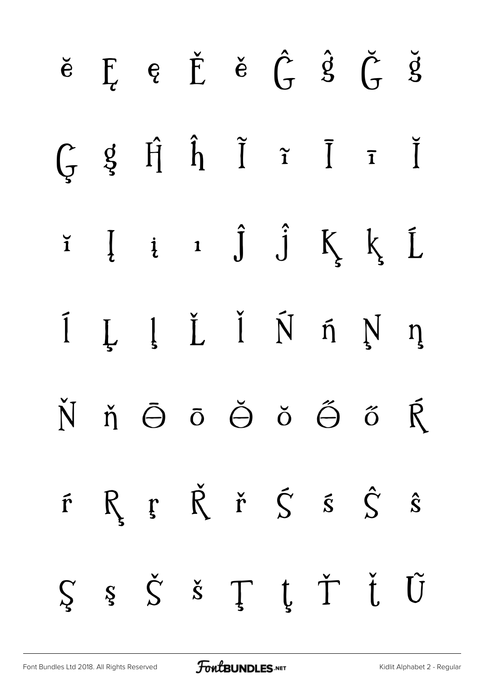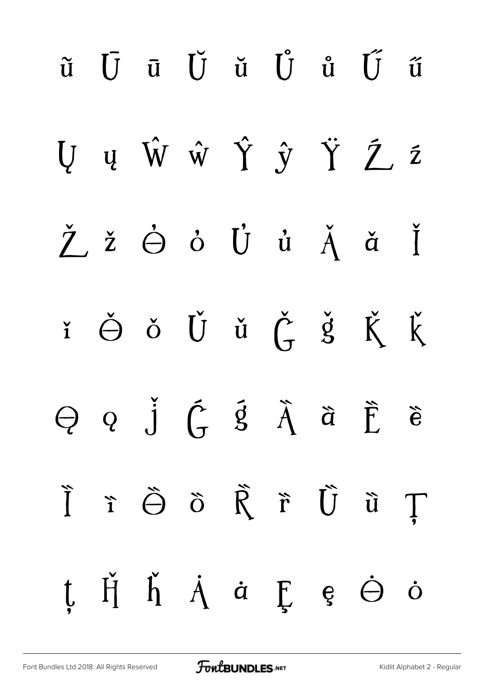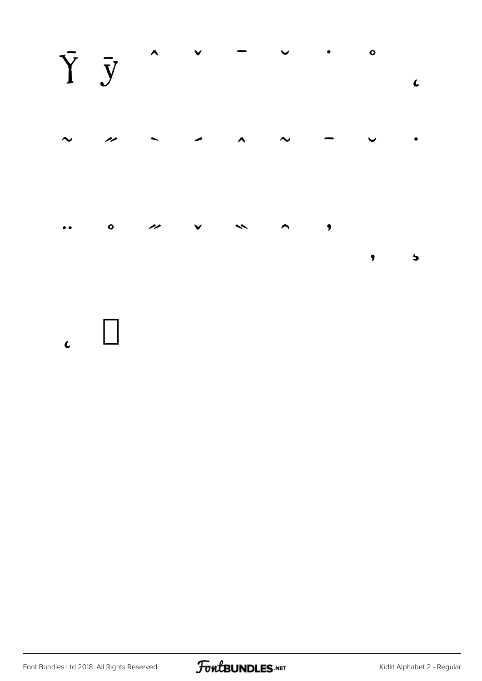

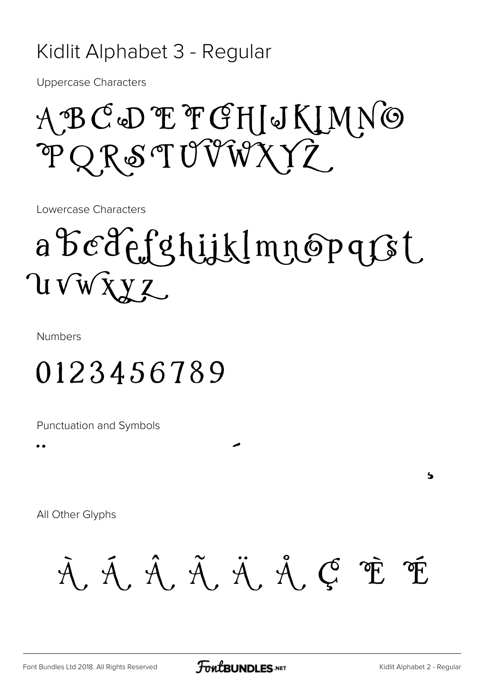#### Kidlit Alphabet 3 - Regular

Uppercase Characters

## *ABCDEFGHIJKLMNO PQRSTUVWXYZ*

Lowercase Characters

# *abcdefghijklmnopqrst uvwxyz*

Numbers

 $\ddot{\bullet}$ 

### *0123456789*

Punctuation and Symbols

All Other Glyphs

*À Á Â Ã Ä Å Ç È É*

 $\overline{\phantom{a}}$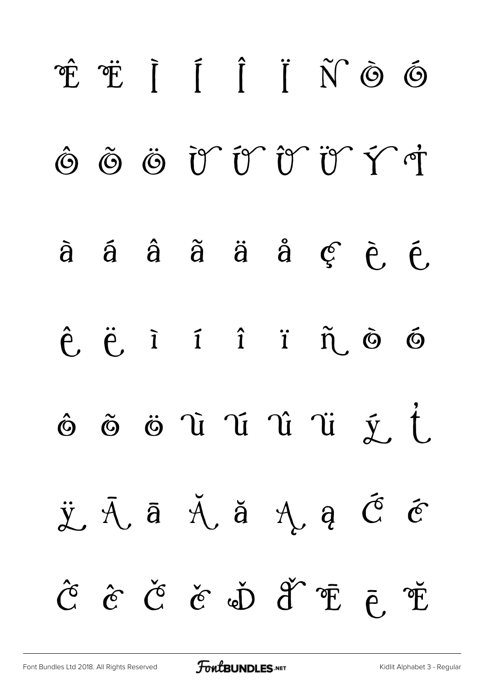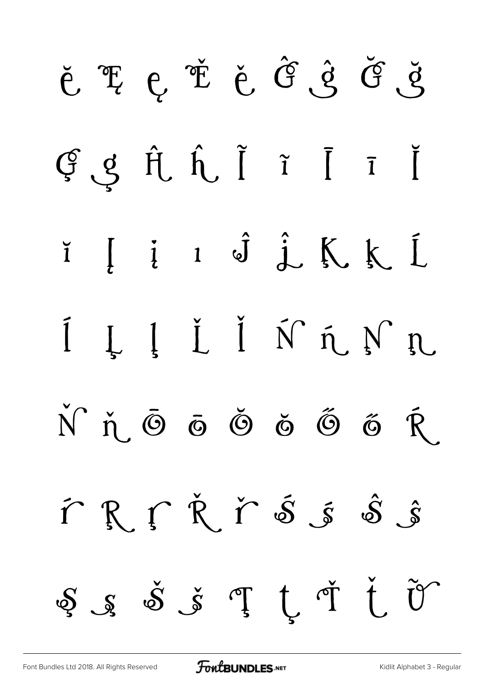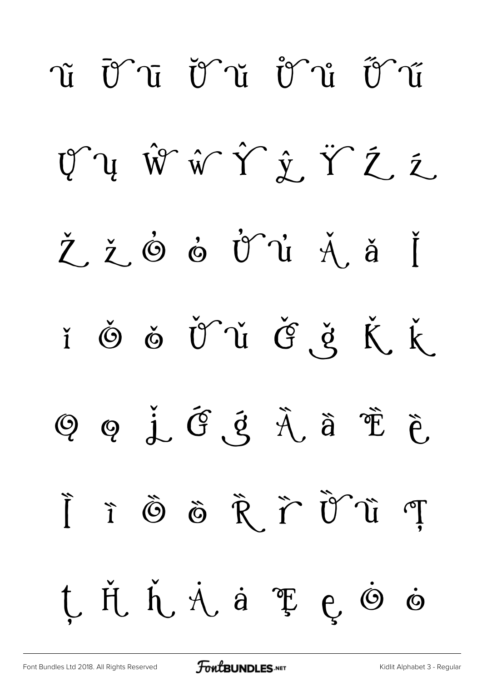